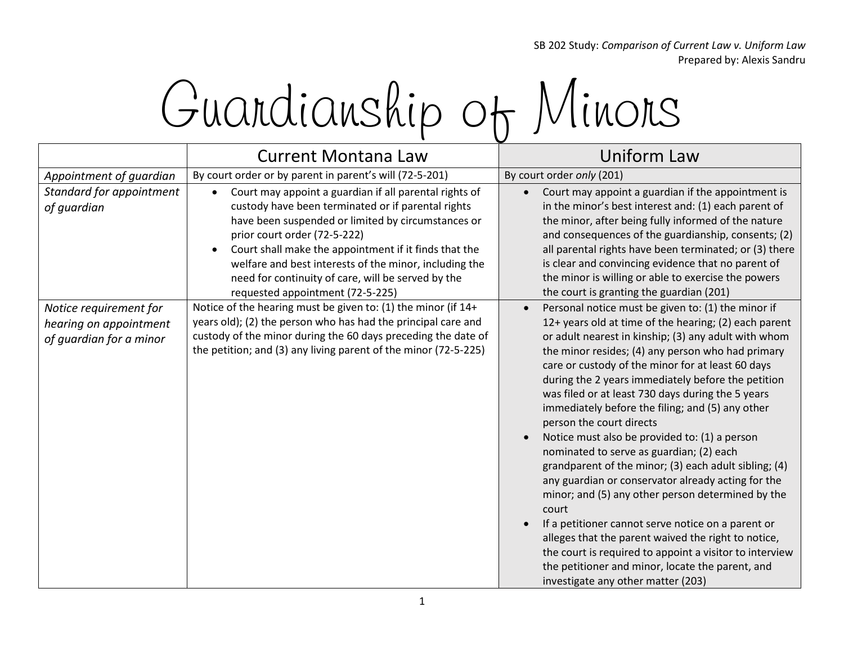SB 202 Study: *Comparison of Current Law v. Uniform Law* Prepared by: Alexis Sandru

## Guardianship of Minors

|                                                                             | <b>Current Montana Law</b>                                                                                                                                                                                                                                                                                                                                                                                                   | Uniform Law                                                                                                                                                                                                                                                                                                                                                                                                                                                                                                                                                                                                                                                                                                                                                                                                                                                                                                                                                                                                          |
|-----------------------------------------------------------------------------|------------------------------------------------------------------------------------------------------------------------------------------------------------------------------------------------------------------------------------------------------------------------------------------------------------------------------------------------------------------------------------------------------------------------------|----------------------------------------------------------------------------------------------------------------------------------------------------------------------------------------------------------------------------------------------------------------------------------------------------------------------------------------------------------------------------------------------------------------------------------------------------------------------------------------------------------------------------------------------------------------------------------------------------------------------------------------------------------------------------------------------------------------------------------------------------------------------------------------------------------------------------------------------------------------------------------------------------------------------------------------------------------------------------------------------------------------------|
| Appointment of guardian                                                     | By court order or by parent in parent's will (72-5-201)                                                                                                                                                                                                                                                                                                                                                                      | By court order only (201)                                                                                                                                                                                                                                                                                                                                                                                                                                                                                                                                                                                                                                                                                                                                                                                                                                                                                                                                                                                            |
| Standard for appointment<br>of guardian                                     | Court may appoint a guardian if all parental rights of<br>$\bullet$<br>custody have been terminated or if parental rights<br>have been suspended or limited by circumstances or<br>prior court order (72-5-222)<br>Court shall make the appointment if it finds that the<br>welfare and best interests of the minor, including the<br>need for continuity of care, will be served by the<br>requested appointment (72-5-225) | Court may appoint a guardian if the appointment is<br>in the minor's best interest and: (1) each parent of<br>the minor, after being fully informed of the nature<br>and consequences of the guardianship, consents; (2)<br>all parental rights have been terminated; or (3) there<br>is clear and convincing evidence that no parent of<br>the minor is willing or able to exercise the powers<br>the court is granting the guardian (201)                                                                                                                                                                                                                                                                                                                                                                                                                                                                                                                                                                          |
| Notice requirement for<br>hearing on appointment<br>of guardian for a minor | Notice of the hearing must be given to: (1) the minor (if 14+<br>years old); (2) the person who has had the principal care and<br>custody of the minor during the 60 days preceding the date of<br>the petition; and (3) any living parent of the minor (72-5-225)                                                                                                                                                           | Personal notice must be given to: (1) the minor if<br>12+ years old at time of the hearing; (2) each parent<br>or adult nearest in kinship; (3) any adult with whom<br>the minor resides; (4) any person who had primary<br>care or custody of the minor for at least 60 days<br>during the 2 years immediately before the petition<br>was filed or at least 730 days during the 5 years<br>immediately before the filing; and (5) any other<br>person the court directs<br>Notice must also be provided to: (1) a person<br>nominated to serve as guardian; (2) each<br>grandparent of the minor; (3) each adult sibling; (4)<br>any guardian or conservator already acting for the<br>minor; and (5) any other person determined by the<br>court<br>If a petitioner cannot serve notice on a parent or<br>alleges that the parent waived the right to notice,<br>the court is required to appoint a visitor to interview<br>the petitioner and minor, locate the parent, and<br>investigate any other matter (203) |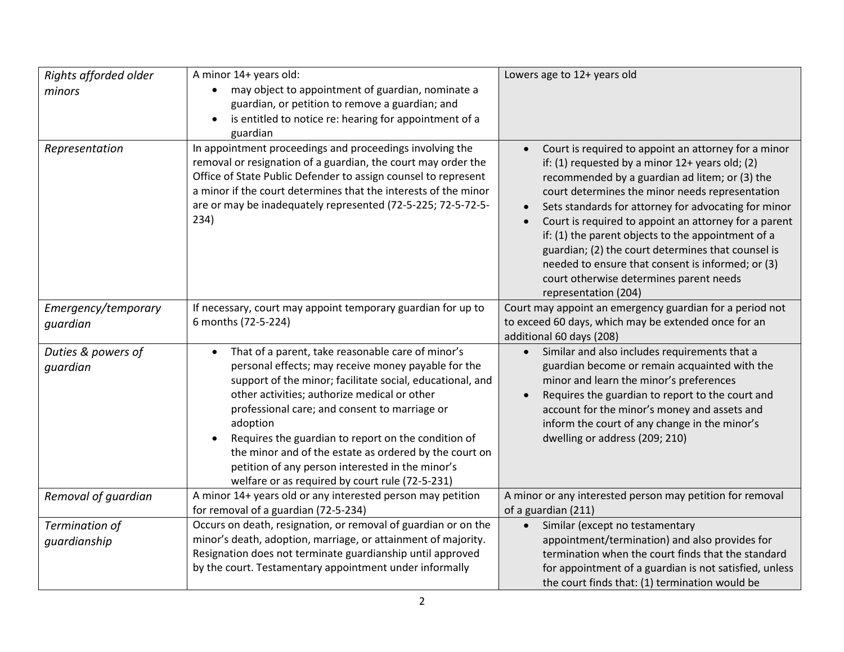| Rights afforded older<br>minors | A minor 14+ years old:<br>may object to appointment of guardian, nominate a<br>$\bullet$<br>guardian, or petition to remove a guardian; and<br>is entitled to notice re: hearing for appointment of a<br>$\bullet$<br>guardian                                                                                                                                                                                                                                                                                          | Lowers age to 12+ years old                                                                                                                                                                                                                                                                                                                                                                                                                                                                                                                                       |
|---------------------------------|-------------------------------------------------------------------------------------------------------------------------------------------------------------------------------------------------------------------------------------------------------------------------------------------------------------------------------------------------------------------------------------------------------------------------------------------------------------------------------------------------------------------------|-------------------------------------------------------------------------------------------------------------------------------------------------------------------------------------------------------------------------------------------------------------------------------------------------------------------------------------------------------------------------------------------------------------------------------------------------------------------------------------------------------------------------------------------------------------------|
| Representation                  | In appointment proceedings and proceedings involving the<br>removal or resignation of a guardian, the court may order the<br>Office of State Public Defender to assign counsel to represent<br>a minor if the court determines that the interests of the minor<br>are or may be inadequately represented (72-5-225; 72-5-72-5-<br>234)                                                                                                                                                                                  | Court is required to appoint an attorney for a minor<br>if: (1) requested by a minor 12+ years old; (2)<br>recommended by a guardian ad litem; or (3) the<br>court determines the minor needs representation<br>Sets standards for attorney for advocating for minor<br>Court is required to appoint an attorney for a parent<br>if: (1) the parent objects to the appointment of a<br>guardian; (2) the court determines that counsel is<br>needed to ensure that consent is informed; or (3)<br>court otherwise determines parent needs<br>representation (204) |
| Emergency/temporary<br>guardian | If necessary, court may appoint temporary guardian for up to<br>6 months (72-5-224)                                                                                                                                                                                                                                                                                                                                                                                                                                     | Court may appoint an emergency guardian for a period not<br>to exceed 60 days, which may be extended once for an<br>additional 60 days (208)                                                                                                                                                                                                                                                                                                                                                                                                                      |
| Duties & powers of<br>quardian  | That of a parent, take reasonable care of minor's<br>$\bullet$<br>personal effects; may receive money payable for the<br>support of the minor; facilitate social, educational, and<br>other activities; authorize medical or other<br>professional care; and consent to marriage or<br>adoption<br>Requires the guardian to report on the condition of<br>the minor and of the estate as ordered by the court on<br>petition of any person interested in the minor's<br>welfare or as required by court rule (72-5-231) | Similar and also includes requirements that a<br>guardian become or remain acquainted with the<br>minor and learn the minor's preferences<br>Requires the guardian to report to the court and<br>account for the minor's money and assets and<br>inform the court of any change in the minor's<br>dwelling or address (209; 210)                                                                                                                                                                                                                                  |
| Removal of guardian             | A minor 14+ years old or any interested person may petition<br>for removal of a guardian (72-5-234)                                                                                                                                                                                                                                                                                                                                                                                                                     | A minor or any interested person may petition for removal<br>of a guardian (211)                                                                                                                                                                                                                                                                                                                                                                                                                                                                                  |
| Termination of<br>guardianship  | Occurs on death, resignation, or removal of guardian or on the<br>minor's death, adoption, marriage, or attainment of majority.<br>Resignation does not terminate guardianship until approved<br>by the court. Testamentary appointment under informally                                                                                                                                                                                                                                                                | • Similar (except no testamentary<br>appointment/termination) and also provides for<br>termination when the court finds that the standard<br>for appointment of a guardian is not satisfied, unless<br>the court finds that: (1) termination would be                                                                                                                                                                                                                                                                                                             |